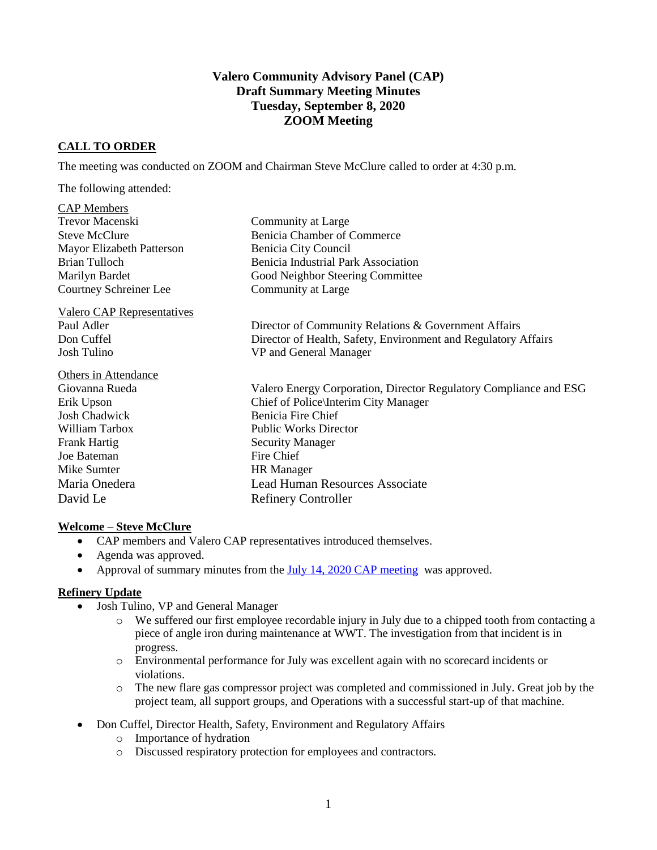# **Valero Community Advisory Panel (CAP) Draft Summary Meeting Minutes Tuesday, September 8, 2020 ZOOM Meeting**

# **CALL TO ORDER**

The meeting was conducted on ZOOM and Chairman Steve McClure called to order at 4:30 p.m.

The following attended:

| Community at Large                                                |
|-------------------------------------------------------------------|
| <b>Benicia Chamber of Commerce</b>                                |
| Benicia City Council                                              |
| Benicia Industrial Park Association                               |
| Good Neighbor Steering Committee                                  |
| Community at Large                                                |
|                                                                   |
| Director of Community Relations & Government Affairs              |
| Director of Health, Safety, Environment and Regulatory Affairs    |
| VP and General Manager                                            |
|                                                                   |
| Valero Energy Corporation, Director Regulatory Compliance and ESG |
| Chief of Police\Interim City Manager                              |
| Benicia Fire Chief                                                |
| <b>Public Works Director</b>                                      |
| <b>Security Manager</b>                                           |
| Fire Chief                                                        |
| <b>HR</b> Manager                                                 |
| <b>Lead Human Resources Associate</b>                             |
| <b>Refinery Controller</b>                                        |
|                                                                   |

#### **Welcome – Steve McClure**

- CAP members and Valero CAP representatives introduced themselves.
- Agenda was approved.
- Approval of summary minutes from the [July 14, 2020 CAP meeting](https://www.beniciacap.com/minutes) was approved.

## **Refinery Update**

- Josh Tulino, VP and General Manager
	- o We suffered our first employee recordable injury in July due to a chipped tooth from contacting a piece of angle iron during maintenance at WWT. The investigation from that incident is in progress.
	- o Environmental performance for July was excellent again with no scorecard incidents or violations.
	- o The new flare gas compressor project was completed and commissioned in July. Great job by the project team, all support groups, and Operations with a successful start-up of that machine.
- Don Cuffel, Director Health, Safety, Environment and Regulatory Affairs
	- o Importance of hydration
	- o Discussed respiratory protection for employees and contractors.